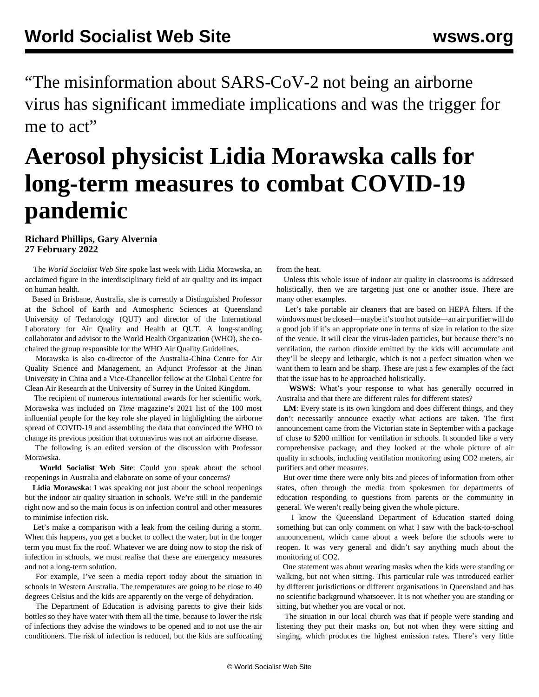"The misinformation about SARS-CoV-2 not being an airborne virus has significant immediate implications and was the trigger for me to act"

## **Aerosol physicist Lidia Morawska calls for long-term measures to combat COVID-19 pandemic**

## **Richard Phillips, Gary Alvernia 27 February 2022**

 The *World Socialist Web Site* spoke last week with Lidia Morawska, an acclaimed figure in the interdisciplinary field of air quality and its impact on human health.

 Based in Brisbane, Australia, she is currently a Distinguished Professor at the School of Earth and Atmospheric Sciences at Queensland University of Technology (QUT) and director of the International Laboratory for Air Quality and Health at QUT. A long-standing collaborator and advisor to the World Health Organization (WHO), she cochaired the group responsible for the WHO Air Quality Guidelines.

 Morawska is also co-director of the Australia-China Centre for Air Quality Science and Management, an Adjunct Professor at the Jinan University in China and a Vice-Chancellor fellow at the Global Centre for Clean Air Research at the University of Surrey in the United Kingdom.

 The recipient of numerous international awards for her scientific work, Morawska was included on *Time* magazine's 2021 list of the 100 most influential people for the key role she played in highlighting the airborne spread of COVID-19 and assembling the data that convinced the WHO to change its previous position that coronavirus was not an airborne disease.

 The following is an edited version of the discussion with Professor Morawska.

 **World Socialist Web Site**: Could you speak about the school reopenings in Australia and elaborate on some of your concerns?

 **Lidia Morawska**: I was speaking not just about the school reopenings but the indoor air quality situation in schools. We're still in the pandemic right now and so the main focus is on infection control and other measures to minimise infection risk.

 Let's make a comparison with a leak from the ceiling during a storm. When this happens, you get a bucket to collect the water, but in the longer term you must fix the roof. Whatever we are doing now to stop the risk of infection in schools, we must realise that these are emergency measures and not a long-term solution.

 For example, I've seen a media report today about the situation in schools in Western Australia. The temperatures are going to be close to 40 degrees Celsius and the kids are apparently on the verge of dehydration.

 The Department of Education is advising parents to give their kids bottles so they have water with them all the time, because to lower the risk of infections they advise the windows to be opened and to not use the air conditioners. The risk of infection is reduced, but the kids are suffocating from the heat.

 Unless this whole issue of indoor air quality in classrooms is addressed holistically, then we are targeting just one or another issue. There are many other examples.

 Let's take portable air cleaners that are based on HEPA filters. If the windows must be closed—maybe it's too hot outside—an air purifier will do a good job if it's an appropriate one in terms of size in relation to the size of the venue. It will clear the virus-laden particles, but because there's no ventilation, the carbon dioxide emitted by the kids will accumulate and they'll be sleepy and lethargic, which is not a perfect situation when we want them to learn and be sharp. These are just a few examples of the fact that the issue has to be approached holistically.

 **WSWS**: What's your response to what has generally occurred in Australia and that there are different rules for different states?

**LM**: Every state is its own kingdom and does different things, and they don't necessarily announce exactly what actions are taken. The first announcement came from the Victorian state in September with a package of close to \$200 million for ventilation in schools. It sounded like a very comprehensive package, and they looked at the whole picture of air quality in schools, including ventilation monitoring using CO2 meters, air purifiers and other measures.

 But over time there were only bits and pieces of information from other states, often through the media from spokesmen for departments of education responding to questions from parents or the community in general. We weren't really being given the whole picture.

 I know the Queensland Department of Education started doing something but can only comment on what I saw with the back-to-school announcement, which came about a week before the schools were to reopen. It was very general and didn't say anything much about the monitoring of CO2.

 One statement was about wearing masks when the kids were standing or walking, but not when sitting. This particular rule was introduced earlier by different jurisdictions or different organisations in Queensland and has no scientific background whatsoever. It is not whether you are standing or sitting, but whether you are vocal or not.

 The situation in our local church was that if people were standing and listening they put their masks on, but not when they were sitting and singing, which produces the highest emission rates. There's very little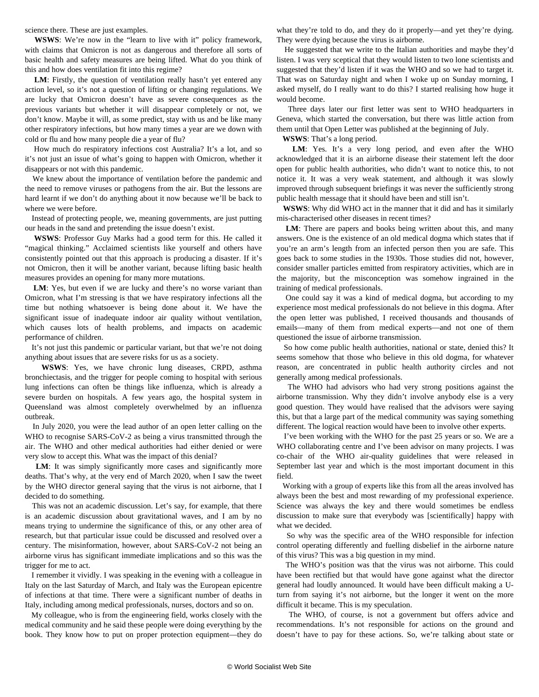science there. These are just examples.

 **WSWS**: We're now in the "learn to live with it" policy framework, with claims that Omicron is not as dangerous and therefore all sorts of basic health and safety measures are being lifted. What do you think of this and how does ventilation fit into this regime?

 **LM**: Firstly, the question of ventilation really hasn't yet entered any action level, so it's not a question of lifting or changing regulations. We are lucky that Omicron doesn't have as severe consequences as the previous variants but whether it will disappear completely or not, we don't know. Maybe it will, as some predict, stay with us and be like many other respiratory infections, but how many times a year are we down with cold or flu and how many people die a year of flu?

 How much do respiratory infections cost Australia? It's a lot, and so it's not just an issue of what's going to happen with Omicron, whether it disappears or not with this pandemic.

 We knew about the importance of ventilation before the pandemic and the need to remove viruses or pathogens from the air. But the lessons are hard learnt if we don't do anything about it now because we'll be back to where we were before.

 Instead of protecting people, we, meaning governments, are just putting our heads in the sand and pretending the issue doesn't exist.

 **WSWS**: Professor Guy Marks had a good term for this. He called it "magical thinking." Acclaimed scientists like yourself and others have consistently pointed out that this approach is producing a disaster. If it's not Omicron, then it will be another variant, because lifting basic health measures provides an opening for many more mutations.

 **LM**: Yes, but even if we are lucky and there's no worse variant than Omicron, what I'm stressing is that we have respiratory infections all the time but nothing whatsoever is being done about it. We have the significant issue of inadequate indoor air quality without ventilation, which causes lots of health problems, and impacts on academic performance of children.

 It's not just this pandemic or particular variant, but that we're not doing anything about issues that are severe risks for us as a society.

 **WSWS**: Yes, we have chronic lung diseases, CRPD, asthma bronchiectasis, and the trigger for people coming to hospital with serious lung infections can often be things like influenza, which is already a severe burden on hospitals. A few years ago, the hospital system in Queensland was almost completely overwhelmed by an influenza outbreak.

 In July 2020, you were the lead author of an open letter calling on the WHO to recognise SARS-CoV-2 as being a virus transmitted through the air. The WHO and other medical authorities had either denied or were very slow to accept this. What was the impact of this denial?

 **LM**: It was simply significantly more cases and significantly more deaths. That's why, at the very end of March 2020, when I saw the tweet by the WHO director general saying that the virus is not airborne, that I decided to do something.

 This was not an academic discussion. Let's say, for example, that there is an academic discussion about gravitational waves, and I am by no means trying to undermine the significance of this, or any other area of research, but that particular issue could be discussed and resolved over a century. The misinformation, however, about SARS-CoV-2 not being an airborne virus has significant immediate implications and so this was the trigger for me to act.

 I remember it vividly. I was speaking in the evening with a colleague in Italy on the last Saturday of March, and Italy was the European epicentre of infections at that time. There were a significant number of deaths in Italy, including among medical professionals, nurses, doctors and so on.

 My colleague, who is from the engineering field, works closely with the medical community and he said these people were doing everything by the book. They know how to put on proper protection equipment—they do what they're told to do, and they do it properly—and yet they're dying. They were dying because the virus is airborne.

 He suggested that we write to the Italian authorities and maybe they'd listen. I was very sceptical that they would listen to two lone scientists and suggested that they'd listen if it was the WHO and so we had to target it. That was on Saturday night and when I woke up on Sunday morning, I asked myself, do I really want to do this? I started realising how huge it would become.

 Three days later our first letter was sent to WHO headquarters in Geneva, which started the conversation, but there was little action from them until that Open Letter was published at the beginning of July.

**WSWS**: That's a long period.

 **LM**: Yes. It's a very long period, and even after the WHO acknowledged that it is an airborne disease their statement left the door open for public health authorities, who didn't want to notice this, to not notice it. It was a very weak statement, and although it was slowly improved through subsequent briefings it was never the sufficiently strong public health message that it should have been and still isn't.

 **WSWS**: Why did WHO act in the manner that it did and has it similarly mis-characterised other diseases in recent times?

 **LM**: There are papers and books being written about this, and many answers. One is the existence of an old medical dogma which states that if you're an arm's length from an infected person then you are safe. This goes back to some studies in the 1930s. Those studies did not, however, consider smaller particles emitted from respiratory activities, which are in the majority, but the misconception was somehow ingrained in the training of medical professionals.

 One could say it was a kind of medical dogma, but according to my experience most medical professionals do not believe in this dogma. After the open letter was published, I received thousands and thousands of emails—many of them from medical experts—and not one of them questioned the issue of airborne transmission.

 So how come public health authorities, national or state, denied this? It seems somehow that those who believe in this old dogma, for whatever reason, are concentrated in public health authority circles and not generally among medical professionals.

 The WHO had advisors who had very strong positions against the airborne transmission. Why they didn't involve anybody else is a very good question. They would have realised that the advisors were saying this, but that a large part of the medical community was saying something different. The logical reaction would have been to involve other experts.

 I've been working with the WHO for the past 25 years or so. We are a WHO collaborating centre and I've been advisor on many projects. I was co-chair of the WHO air-quality guidelines that were released in September last year and which is the most important document in this field.

 Working with a group of experts like this from all the areas involved has always been the best and most rewarding of my professional experience. Science was always the key and there would sometimes be endless discussion to make sure that everybody was [scientifically] happy with what we decided.

 So why was the specific area of the WHO responsible for infection control operating differently and fuelling disbelief in the airborne nature of this virus? This was a big question in my mind.

 The WHO's position was that the virus was not airborne. This could have been rectified but that would have gone against what the director general had loudly announced. It would have been difficult making a Uturn from saying it's not airborne, but the longer it went on the more difficult it became. This is my speculation.

 The WHO, of course, is not a government but offers advice and recommendations. It's not responsible for actions on the ground and doesn't have to pay for these actions. So, we're talking about state or